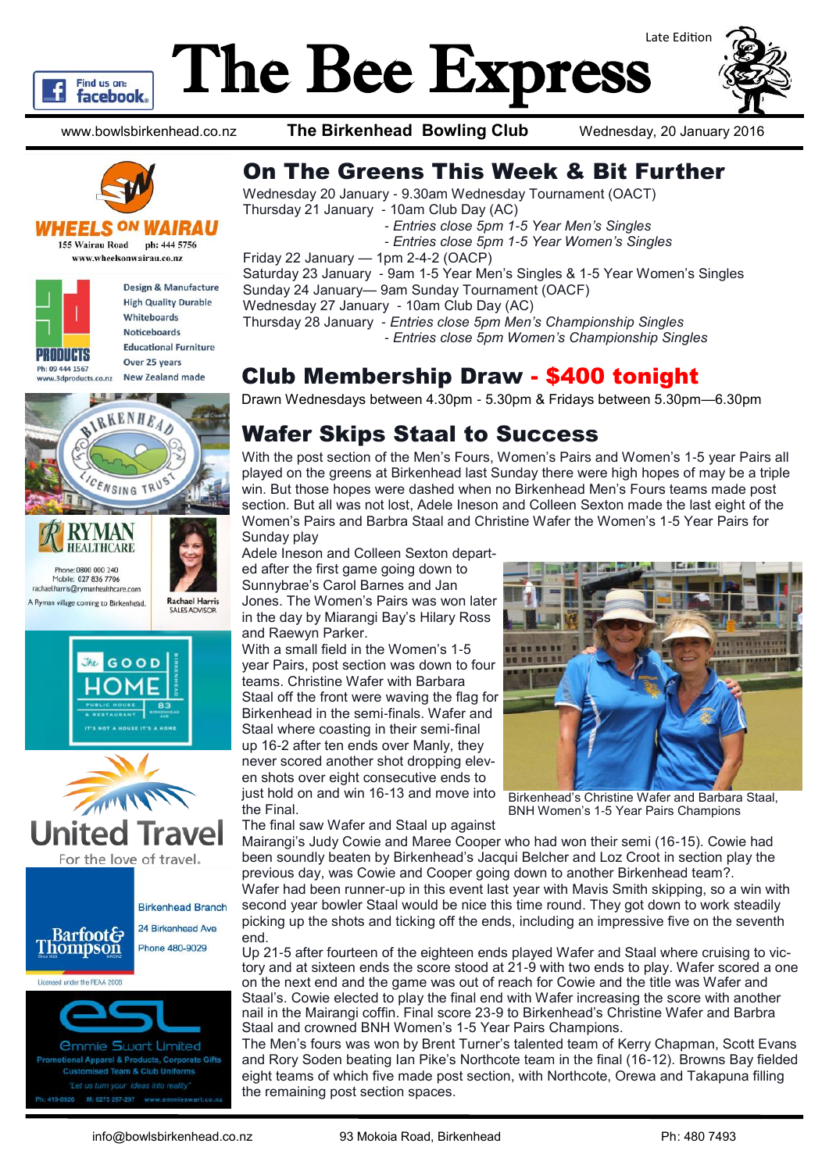

# The Bee Express Late Edition



www.bowlsbirkenhead.co.nz **The Birkenhead Bowling Club** Wednesday, 20 January 2016



#### **WHEELS ON W**

**155 Wairau Road** ph: 444 5756 www.wheelsonwairau.co.nz



Design & Manufacture **High Quality Durable** Whiteboards **Noticeboards Educational Furniture** Over 25 years New Zealand made









sed Team & Club Uniforms M: 0275 297-297

### On The Greens This Week & Bit Further

Wednesday 20 January - 9.30am Wednesday Tournament (OACT) Thursday 21 January - 10am Club Day (AC)

 *- Entries close 5pm 1-5 Year Men's Singles*

 *- Entries close 5pm 1-5 Year Women's Singles*

Friday 22 January — 1pm 2-4-2 (OACP) Saturday 23 January - 9am 1-5 Year Men's Singles & 1-5 Year Women's Singles Sunday 24 January— 9am Sunday Tournament (OACF)

Wednesday 27 January - 10am Club Day (AC)

Thursday 28 January - *Entries close 5pm Men's Championship Singles*

 *- Entries close 5pm Women's Championship Singles*

## Club Membership Draw - \$400 tonight

Drawn Wednesdays between 4.30pm - 5.30pm & Fridays between 5.30pm—6.30pm

# Wafer Skips Staal to Success

With the post section of the Men's Fours, Women's Pairs and Women's 1-5 year Pairs all played on the greens at Birkenhead last Sunday there were high hopes of may be a triple win. But those hopes were dashed when no Birkenhead Men's Fours teams made post section. But all was not lost, Adele Ineson and Colleen Sexton made the last eight of the Women's Pairs and Barbra Staal and Christine Wafer the Women's 1-5 Year Pairs for Sunday play

Adele Ineson and Colleen Sexton departed after the first game going down to Sunnybrae's Carol Barnes and Jan Jones. The Women's Pairs was won later in the day by Miarangi Bay's Hilary Ross and Raewyn Parker.

With a small field in the Women's 1-5 year Pairs, post section was down to four teams. Christine Wafer with Barbara Staal off the front were waving the flag for Birkenhead in the semi-finals. Wafer and Staal where coasting in their semi-final up 16-2 after ten ends over Manly, they never scored another shot dropping eleven shots over eight consecutive ends to just hold on and win 16-13 and move into the Final.



Birkenhead's Christine Wafer and Barbara Staal, BNH Women's 1-5 Year Pairs Champions

The final saw Wafer and Staal up against Mairangi's Judy Cowie and Maree Cooper who had won their semi (16-15). Cowie had been soundly beaten by Birkenhead's Jacqui Belcher and Loz Croot in section play the previous day, was Cowie and Cooper going down to another Birkenhead team?.

Wafer had been runner-up in this event last year with Mavis Smith skipping, so a win with second year bowler Staal would be nice this time round. They got down to work steadily picking up the shots and ticking off the ends, including an impressive five on the seventh end.

Up 21-5 after fourteen of the eighteen ends played Wafer and Staal where cruising to victory and at sixteen ends the score stood at 21-9 with two ends to play. Wafer scored a one on the next end and the game was out of reach for Cowie and the title was Wafer and Staal's. Cowie elected to play the final end with Wafer increasing the score with another nail in the Mairangi coffin. Final score 23-9 to Birkenhead's Christine Wafer and Barbra Staal and crowned BNH Women's 1-5 Year Pairs Champions.

The Men's fours was won by Brent Turner's talented team of Kerry Chapman, Scott Evans and Rory Soden beating Ian Pike's Northcote team in the final (16-12). Browns Bay fielded eight teams of which five made post section, with Northcote, Orewa and Takapuna filling the remaining post section spaces.